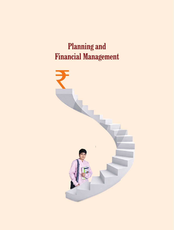# **Planning and Financial Management**

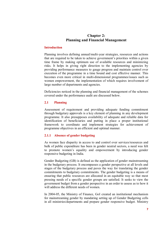# **Chapter 2: Planning and Financial Management**

#### **Introduction**

Planning involves defining annual/multi-year strategies, resources and actions that are required to be taken to achieve government's priorities within a given time frame by making optimum use of available resources and minimizing risks. It helps in giving right direction to the implementing agencies by providing performance measures to gauge progress and maintain control over execution of the programme in a time bound and cost effective manner. This becomes even more critical in multi-dimensional programmes/issues such as women empowerment, the implementation of which requires involvement of large number of departments and agencies.

Deficiencies noticed in the planning and financial management of the schemes covered under the performance audit are discussed below.

## **2.1 Planning**

Assessment of requirement and providing adequate funding commitment through budgetary approvals is a key element of planning in any development programme. It also presupposes availability of adequate and reliable data for identification of beneficiaries and putting in place a proper institutional framework to coordinate and implement strategies for achievement of programme objectives in an efficient and optimal manner.

#### **2.1.1 Absence of gender budgeting**

As women face disparity in access to and control over services/resources and bulk of public expenditure has been in gender neutral sectors, a need was felt to promote women's equality and empowerment by introducing gender responsive budgeting in India.

Gender Budgeting (GB) is defined as the application of gender mainstreaming in the budgetary process. It encompasses a gender perspective at all levels and stages of the budgetary process and paves the way for translating the gender commitments to budgetary commitments. The gender budgeting is a means of ensuring that public resources are allocated in an equitable way so that most pressing needs of a specific gender groups are satisfied. It seeks to view the government budget from a gender perspective in an order to assess as to how it will address the different needs of women.

In 2004-05, the Ministry of Finance, GoI created an institutional mechanism for mainstreaming gender by mandating setting up of Gender Budgeting cells in all ministries/departments and prepare gender responsive budget. Ministry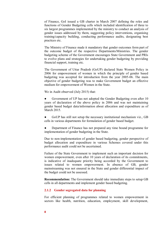of Finance, GoI issued a GB charter in March 2007 defining the roles and functions of Gender Budgeting cells which included identification of three to six largest programmes implemented by the ministry to conduct an analysis of gender issues addressed by them, suggesting policy interventions, organising training/capacity building, conducting performance audits, designating best practices etc.

The Ministry of Finance made it mandatory that gender outcomes form part of the outcome budget of the respective Departments/Ministries. The gender budgeting scheme of the Government encourages State Government and PRIs to evolve plans and strategies for undertaking gender budgeting by providing financial support, training etc.

The Government of Uttar Pradesh (GoUP) declared State Women Policy in 2006 for empowerment of women in which the principle of gender based budgeting was accepted for introduction from the year 2005-06. The main objective of gender budgeting was to make Government budget an effective medium for empowerment of Women in the State.

We in Audit observed (July 2015) that:

Government of UP has not adopted the Gender Budgeting even after 10 years of declaration of the above policy in 2006 and was not maintaining gender based budget data/information about allocation and expenditure as of March 2015.

GoUP has still not setup the necessary institutional mechanism viz., GB cells in various departments for formulation of gender based budget.

Department of Finance has not prepared any time bound programme for implementation of gender budgeting in the State.

Due to non-implementation of gender based budgeting, gender perspective of budget allocation and expenditure in various Schemes covered under this performance audit could not be ascertained.

Failure of the State Government to implement such an important decision for women empowerment, even after 10 years of declaration of its commitments, is indicative of inadequate priority being accorded by the Government to issues related to women empowerment. In absence of GB, gender mainstreaming was not ensured in the State and gender differential impact of the budget could not be assessed.

**Recommendation:** The Government should take immediate steps to setup GB cells in all departments and implement gender based budgeting.

### **2.1.2 Gender segregated data for planning**

For efficient planning of programmes related to women empowerment in sectors like health, nutrition, education, employment, skill development,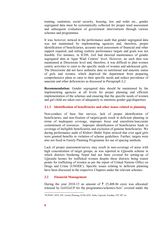training, sanitation, social security, housing, law and order etc., gender segregated data must be systematically collected for proper need assessment and subsequent evaluation of government interventions through various schemes and programmes.

It was, however, noticed in the performance audit that gender segregated data was not maintained by implementing agencies and, therefore, proper identification of beneficiaries, accurate need assessment of financial and other support required, and setting realistic performance targets and goals was not feasible. For instance, in ICDS, GoI had directed maintenance of gender segregated data at Agan Wadi Centres' level. However, no such data was maintained at Directorate level and, therefore, it was difficult to plan women centric activities to cater to the specific needs of women and adolescent girls. The Directorate did not have authentic data on nutritional and anaemic status of girls and women, which deprived the department from preparing comprehensive plans to cater to their specific needs and reduce prevalence of anaemia and other deficiencies as discussed in *Paragraph 5.2*.

**Recommendation:** Gender segregated data should be maintained by the implementing agencies at all levels for proper planning and efficient implementation of the schemes and ensuring that the specific needs of women and girl child are taken care of adequately to minimise gender gap/disparities.

#### **2.1.3 Identification of beneficiaries and other issues related to planning**

Non-conduct of base line surveys, lack of proper identification of beneficiaries, and non-fixation of targets/goals result in deficient planning in terms of inadequate coverage, improper focus and unrealistic/inaccurate commitment of resources. Improper identification of beneficiaries leads to coverage of ineligible beneficiaries and exclusion of genuine beneficiaries. We during performance audit of *Kishori Shakti Yojna* noticed that over aged girls were granted benefits in violation of scheme guidelines. Further, targets were also not fixed in Family Planning Programme for use of spacing methods.

Lack of proper assessment/survey may result in non-coverage of areas with high concentration of target groups, as was reported in *Ujjawala* scheme in which districts bordering Nepal had not been covered for setting-up of *Ujjawala* homes for trafficked women despite these districts being transit points for trafficking of women as per the report of United Nations Office on Drugs and Crime (UNODC). Specific issues relating to deficient planning have been discussed in the respective Chapters under the relevant schemes.

#### **2.2 Financial Management**

During the year 2010-15 an amount of  $\bar{\tau}$  25,408.86 crore was allocated/ released by  $GoI/GoUP$  for the programmes/schemes/ $Acts<sup>1</sup>$  covered under the

 1 PCPNDT, MTP, JSY, Family Planning, ICDS, KSY, Sabla, Ujjawala, Swadhar, ITP, IPC etc.